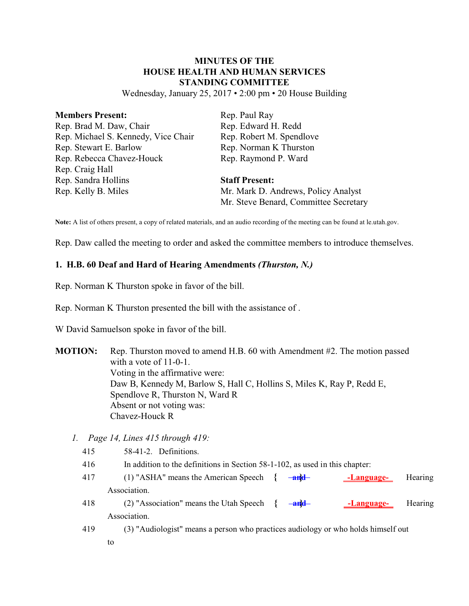# **MINUTES OF THE HOUSE HEALTH AND HUMAN SERVICES STANDING COMMITTEE**

Wednesday, January 25, 2017 • 2:00 pm • 20 House Building

| <b>Members Present:</b>             | Rep. Paul Ray                         |
|-------------------------------------|---------------------------------------|
| Rep. Brad M. Daw, Chair             | Rep. Edward H. Redd                   |
| Rep. Michael S. Kennedy, Vice Chair | Rep. Robert M. Spendlove              |
| Rep. Stewart E. Barlow              | Rep. Norman K Thurston                |
| Rep. Rebecca Chavez-Houck           | Rep. Raymond P. Ward                  |
| Rep. Craig Hall                     |                                       |
| Rep. Sandra Hollins                 | <b>Staff Present:</b>                 |
| Rep. Kelly B. Miles                 | Mr. Mark D. Andrews, Policy Analyst   |
|                                     | Mr. Steve Benard, Committee Secretary |

**Note:** A list of others present, a copy of related materials, and an audio recording of the meeting can be found at le.utah.gov.

Rep. Daw called the meeting to order and asked the committee members to introduce themselves.

#### **1. H.B. 60 Deaf and Hard of Hearing Amendments** *(Thurston, N.)*

Rep. Norman K Thurston spoke in favor of the bill.

Rep. Norman K Thurston presented the bill with the assistance of .

W David Samuelson spoke in favor of the bill.

- **MOTION:** Rep. Thurston moved to amend H.B. 60 with Amendment #2. The motion passed with a vote of 11-0-1. Voting in the affirmative were: Daw B, Kennedy M, Barlow S, Hall C, Hollins S, Miles K, Ray P, Redd E, Spendlove R, Thurston N, Ward R Absent or not voting was: Chavez-Houck R
	- *1. Page 14, Lines 415 through 419:*
		- 415 58-41-2. Definitions.
		- 416 In addition to the definitions in Section 58-1-102, as used in this chapter:
		- 417 (1) "ASHA" means the American Speech **{ and } -Language-** Hearing Association.
		- 418 (2) "Association" means the Utah Speech **{ and } -Language-** Hearing Association.
		- 419 (3) "Audiologist" means a person who practices audiology or who holds himself out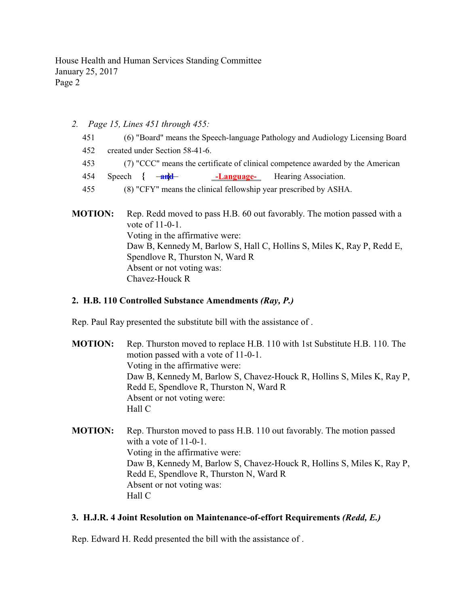- *2. Page 15, Lines 451 through 455:*
	- 451 (6) "Board" means the Speech-language Pathology and Audiology Licensing Board
	- 452 created under Section 58-41-6.
	- 453 (7) "CCC" means the certificate of clinical competence awarded by the American

454 Speech **{ and } -Language-** Hearing Association.

- 455 (8) "CFY" means the clinical fellowship year prescribed by ASHA.
- **MOTION:** Rep. Redd moved to pass H.B. 60 out favorably. The motion passed with a vote of 11-0-1. Voting in the affirmative were: Daw B, Kennedy M, Barlow S, Hall C, Hollins S, Miles K, Ray P, Redd E, Spendlove R, Thurston N, Ward R Absent or not voting was: Chavez-Houck R

### **2. H.B. 110 Controlled Substance Amendments** *(Ray, P.)*

Rep. Paul Ray presented the substitute bill with the assistance of .

- **MOTION:** Rep. Thurston moved to replace H.B. 110 with 1st Substitute H.B. 110. The motion passed with a vote of 11-0-1. Voting in the affirmative were: Daw B, Kennedy M, Barlow S, Chavez-Houck R, Hollins S, Miles K, Ray P, Redd E, Spendlove R, Thurston N, Ward R Absent or not voting were: Hall C
- **MOTION:** Rep. Thurston moved to pass H.B. 110 out favorably. The motion passed with a vote of 11-0-1. Voting in the affirmative were: Daw B, Kennedy M, Barlow S, Chavez-Houck R, Hollins S, Miles K, Ray P, Redd E, Spendlove R, Thurston N, Ward R Absent or not voting was: Hall C

#### **3. H.J.R. 4 Joint Resolution on Maintenance-of-effort Requirements** *(Redd, E.)*

Rep. Edward H. Redd presented the bill with the assistance of .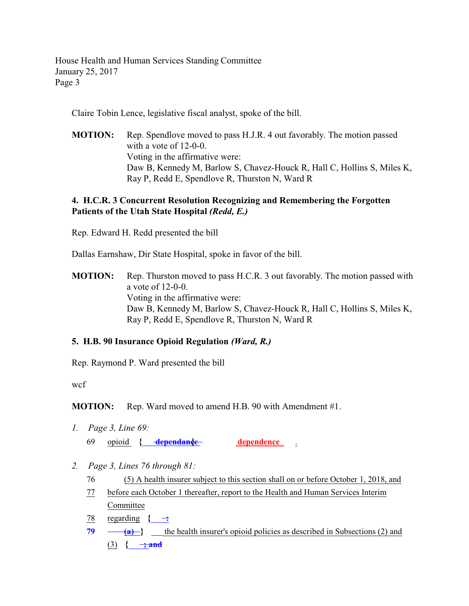Claire Tobin Lence, legislative fiscal analyst, spoke of the bill.

**MOTION:** Rep. Spendlove moved to pass H.J.R. 4 out favorably. The motion passed with a vote of 12-0-0. Voting in the affirmative were: Daw B, Kennedy M, Barlow S, Chavez-Houck R, Hall C, Hollins S, Miles K, Ray P, Redd E, Spendlove R, Thurston N, Ward R

# **4. H.C.R. 3 Concurrent Resolution Recognizing and Remembering the Forgotten Patients of the Utah State Hospital** *(Redd, E.)*

Rep. Edward H. Redd presented the bill

Dallas Earnshaw, Dir State Hospital, spoke in favor of the bill.

**MOTION:** Rep. Thurston moved to pass H.C.R. 3 out favorably. The motion passed with a vote of 12-0-0. Voting in the affirmative were: Daw B, Kennedy M, Barlow S, Chavez-Houck R, Hall C, Hollins S, Miles K, Ray P, Redd E, Spendlove R, Thurston N, Ward R

# **5. H.B. 90 Insurance Opioid Regulation** *(Ward, R.)*

Rep. Raymond P. Ward presented the bill

wcf

**MOTION:** Rep. Ward moved to amend H.B. 90 with Amendment #1.

- *1. Page 3, Line 69:* 69 opioid { dependance **dependence }**
- *2. Page 3, Lines 76 through 81:*
	- 76 (5) A health insurer subject to this section shall on or before October 1, 2018, and
	- 77 before each October 1 thereafter, report to the Health and Human Services Interim Committee
	- 78 regarding  $\{\div\div$
	- **79 (a) }** the health insurer's opioid policies as described in Subsections (2) and (3)  $\{ \frac{\ }{\ } \frac{\ }{\ }$  **; and**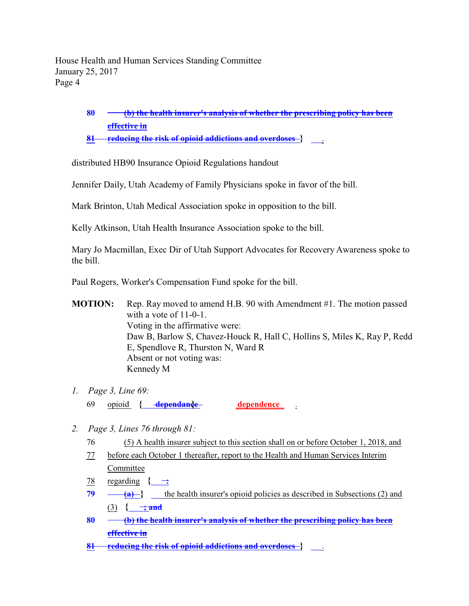> **80 (b) the health insurer's analysis of whether the prescribing policy has been effective in**

**81 reducing the risk of opioid addictions and overdoses }** .

distributed HB90 Insurance Opioid Regulations handout

Jennifer Daily, Utah Academy of Family Physicians spoke in favor of the bill.

Mark Brinton, Utah Medical Association spoke in opposition to the bill.

Kelly Atkinson, Utah Health Insurance Association spoke to the bill.

Mary Jo Macmillan, Exec Dir of Utah Support Advocates for Recovery Awareness spoke to the bill.

Paul Rogers, Worker's Compensation Fund spoke for the bill.

**MOTION:** Rep. Ray moved to amend H.B. 90 with Amendment #1. The motion passed with a vote of 11-0-1. Voting in the affirmative were: Daw B, Barlow S, Chavez-Houck R, Hall C, Hollins S, Miles K, Ray P, Redd E, Spendlove R, Thurston N, Ward R Absent or not voting was: Kennedy M

- *1. Page 3, Line 69:* 69 opioid **{ dependance } dependence** .
- *2. Page 3, Lines 76 through 81:*
	- 76 (5) A health insurer subject to this section shall on or before October 1, 2018, and
	- 77 before each October 1 thereafter, report to the Health and Human Services Interim Committee
	- 78 regarding  $\{\rightarrow\}$
	- **79 (a)**  $\left\{\right\}$  the health insurer's opioid policies as described in Subsections (2) and  $(3)$  {  $\rightarrow$  and
	- **80 (b) the health insurer's analysis of whether the prescribing policy has been effective in**
	- **81 reducing the risk of opioid addictions and overdoses }** .